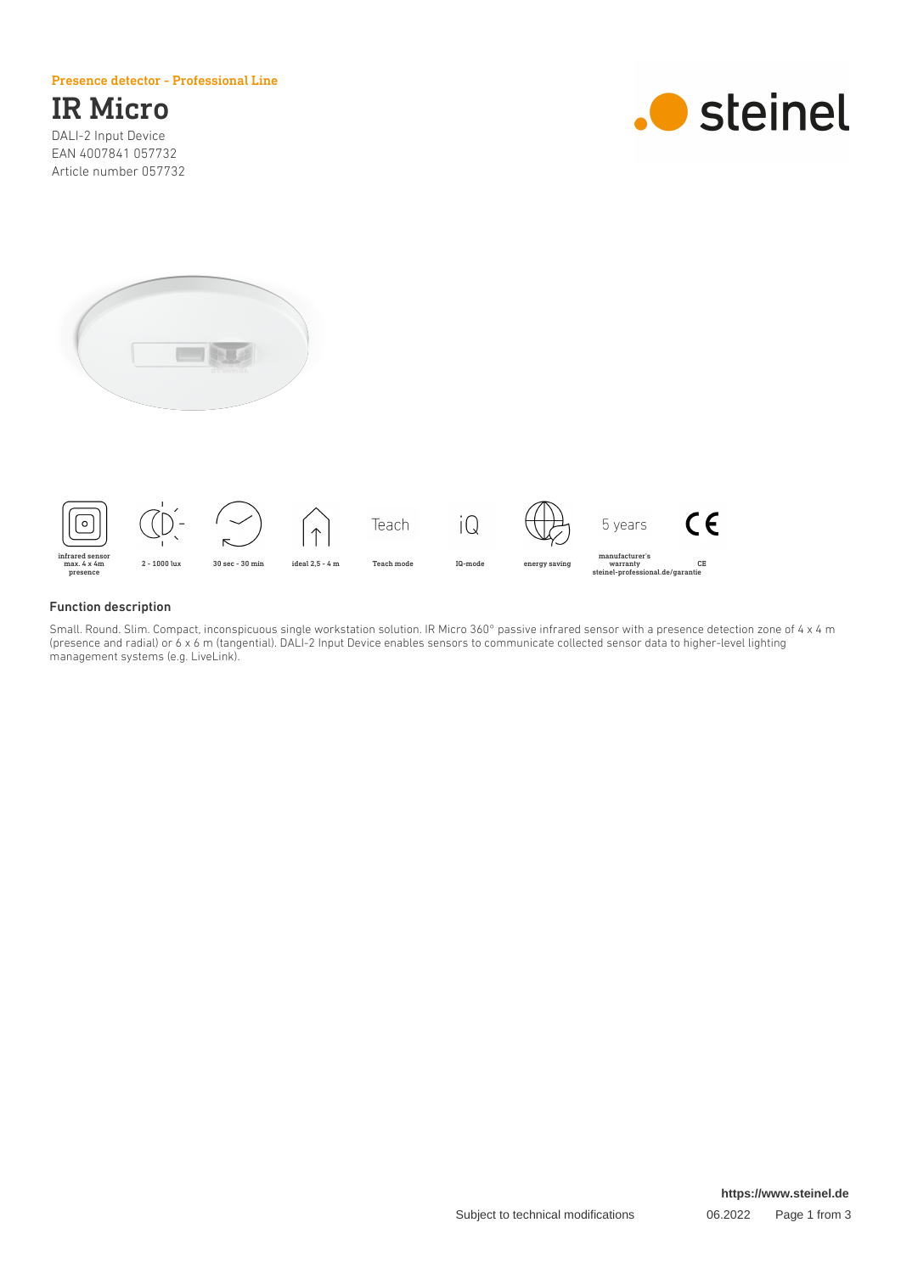#### Presence detector - Professional Line

## IR Micro

DALI-2 Input Device EAN 4007841 057732 Article number 057732







#### Function description

Small. Round. Slim. Compact, inconspicuous single workstation solution. IR Micro 360° passive infrared sensor with a presence detection zone of 4 x 4 m (presence and radial) or 6 x 6 m (tangential). DALI-2 Input Device enables sensors to communicate collected sensor data to higher-level lighting management systems (e.g. LiveLink).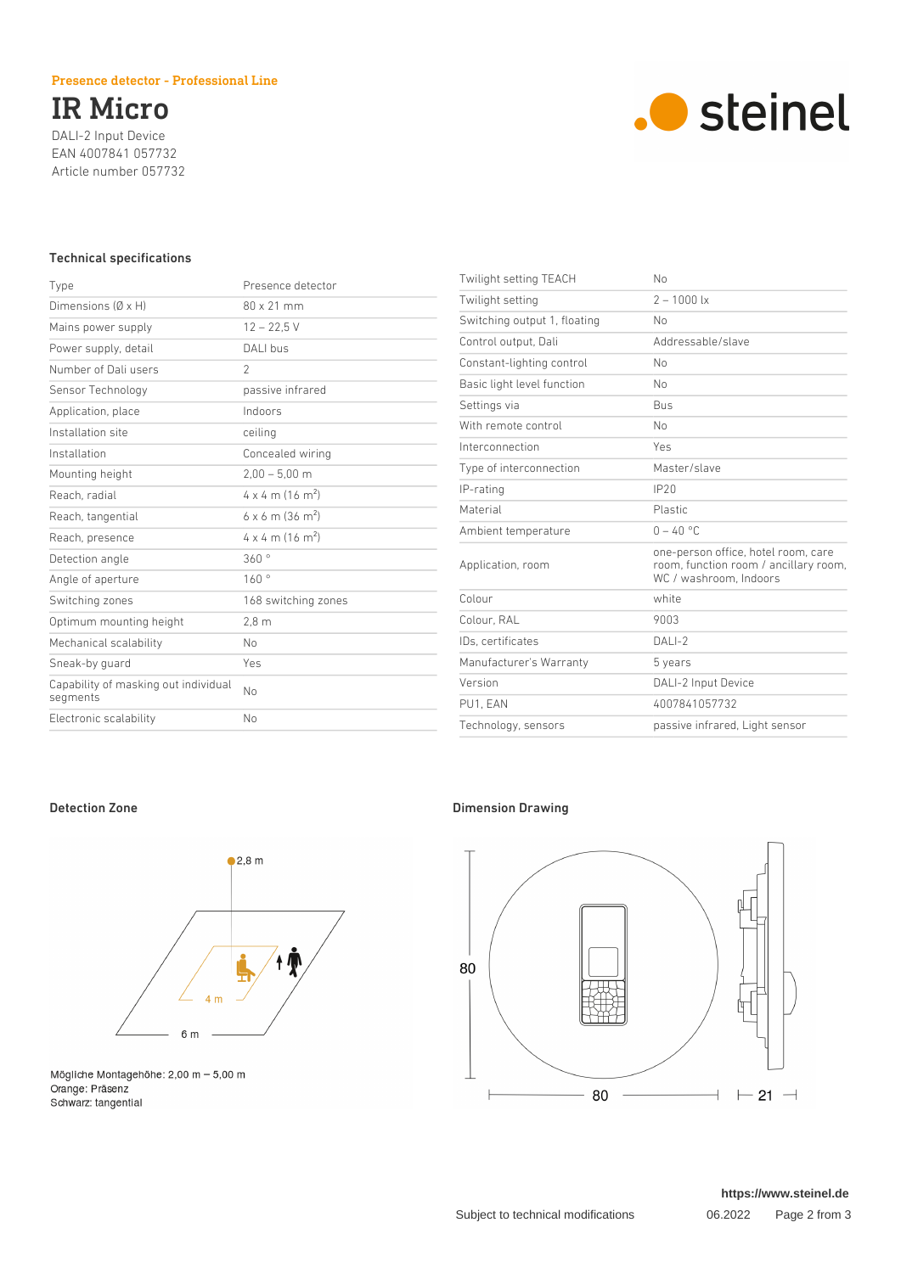#### Presence detector - Professional Line

# IR Micro

DALI-2 Input Device EAN 4007841 057732 Article number 057732



#### Technical specifications

| Type                                             | Presence detector                   |
|--------------------------------------------------|-------------------------------------|
| Dimensions $(\emptyset \times H)$                | 80 x 21 mm                          |
| Mains power supply                               | $12 - 22.5$ V                       |
| Power supply, detail                             | DALI bus                            |
| Number of Dali users                             | $\overline{2}$                      |
| Sensor Technology                                | passive infrared                    |
| Application, place                               | Indoors                             |
| Installation site                                | ceiling                             |
| Installation                                     | Concealed wiring                    |
| Mounting height                                  | $2.00 - 5.00$ m                     |
| Reach, radial                                    | $4 \times 4$ m (16 m <sup>2</sup> ) |
| Reach, tangential                                | $6 \times 6$ m (36 m <sup>2</sup> ) |
| Reach, presence                                  | $4 \times 4$ m (16 m <sup>2</sup> ) |
| Detection angle                                  | 360°                                |
| Angle of aperture                                | 160°                                |
| Switching zones                                  | 168 switching zones                 |
| Optimum mounting height                          | 2.8 <sub>m</sub>                    |
| Mechanical scalability                           | No                                  |
| Sneak-by quard                                   | Yes                                 |
| Capability of masking out individual<br>segments | No                                  |
| Electronic scalability                           | No                                  |
|                                                  |                                     |

| Twilight setting TEACH       | No                                                                                                     |
|------------------------------|--------------------------------------------------------------------------------------------------------|
| Twilight setting             | $2 - 1000$ lx                                                                                          |
| Switching output 1, floating | No                                                                                                     |
| Control output, Dali         | Addressable/slave                                                                                      |
| Constant-lighting control    | No                                                                                                     |
| Basic light level function   | No                                                                                                     |
| Settings via                 | <b>Bus</b>                                                                                             |
| With remote control          | No                                                                                                     |
| Interconnection              | Yes                                                                                                    |
| Type of interconnection      | Master/slave                                                                                           |
| IP-rating                    | IP20                                                                                                   |
| Material                     | <b>Plastic</b>                                                                                         |
| Ambient temperature          | $0 - 40 °C$                                                                                            |
| Application, room            | one-person office, hotel room, care<br>room, function room / ancillary room,<br>WC / washroom, Indoors |
| Colour                       | white                                                                                                  |
| Colour, RAL                  | 9003                                                                                                   |
| IDs. certificates            | $DALI-2$                                                                                               |
| Manufacturer's Warranty      | 5 years                                                                                                |
| Version                      | DALI-2 Input Device                                                                                    |
| PU1. EAN                     | 4007841057732                                                                                          |
| Technology, sensors          | passive infrared, Light sensor                                                                         |



Mögliche Montagehöhe: 2,00 m – 5,00 m<br>Orange: Präsenz Schwarz: tangential

### Detection Zone **Dimension Drawing**